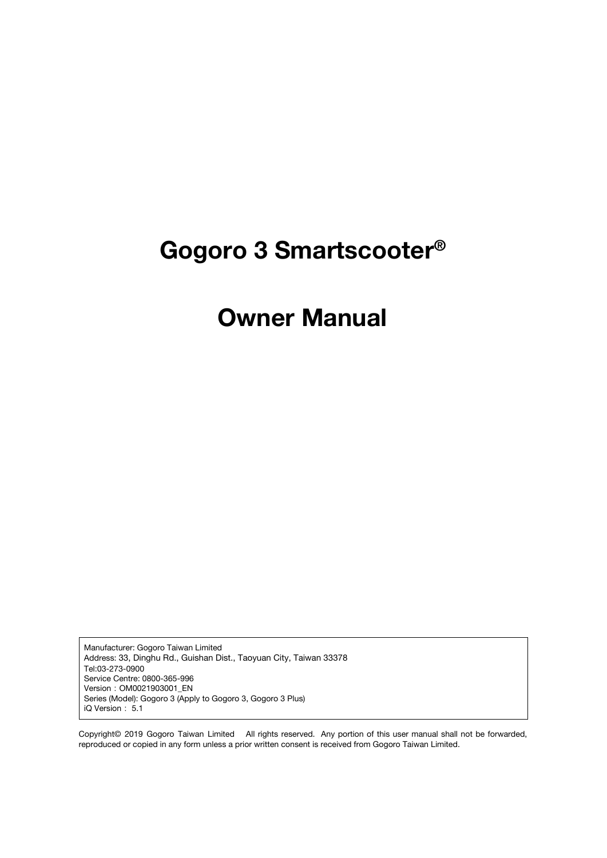# **Gogoro 3 Smartscooter®**

# **Owner Manual**

Manufacturer: Gogoro Taiwan Limited Address: 33, Dinghu Rd., Guishan Dist., Taoyuan City, Taiwan 33378 Tel:03-273-0900 Service Centre: 0800-365-996 Version:OM0021903001\_EN Series (Model): Gogoro 3 (Apply to Gogoro 3, Gogoro 3 Plus) iQ Version: 5.1

Copyright© 2019 Gogoro Taiwan Limited All rights reserved. Any portion of this user manual shall not be forwarded, reproduced or copied in any form unless a prior written consent is received from Gogoro Taiwan Limited.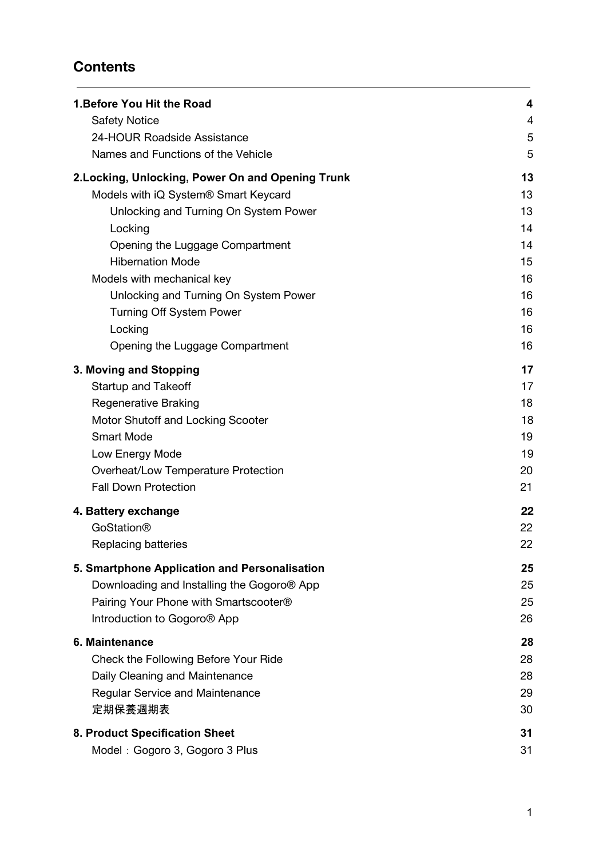## **Contents**

| 1. Before You Hit the Road                        | $\overline{\mathbf{4}}$ |
|---------------------------------------------------|-------------------------|
| <b>Safety Notice</b>                              | 4                       |
| 24-HOUR Roadside Assistance                       | 5                       |
| Names and Functions of the Vehicle                | 5                       |
| 2. Locking, Unlocking, Power On and Opening Trunk | 13                      |
| Models with iQ System® Smart Keycard              | 13                      |
| Unlocking and Turning On System Power             | 13                      |
| Locking                                           | 14                      |
| Opening the Luggage Compartment                   | 14                      |
| <b>Hibernation Mode</b>                           | 15                      |
| Models with mechanical key                        | 16                      |
| Unlocking and Turning On System Power             | 16                      |
| <b>Turning Off System Power</b>                   | 16                      |
| Locking                                           | 16                      |
| Opening the Luggage Compartment                   | 16                      |
| 3. Moving and Stopping                            | 17                      |
| <b>Startup and Takeoff</b>                        | 17                      |
| <b>Regenerative Braking</b>                       | 18                      |
| Motor Shutoff and Locking Scooter                 | 18                      |
| <b>Smart Mode</b>                                 | 19                      |
| Low Energy Mode                                   | 19                      |
| Overheat/Low Temperature Protection               | 20                      |
| <b>Fall Down Protection</b>                       | 21                      |
| 4. Battery exchange                               | 22                      |
| <b>GoStation®</b>                                 | 22                      |
| <b>Replacing batteries</b>                        | 22                      |
| 5. Smartphone Application and Personalisation     | 25                      |
| Downloading and Installing the Gogoro® App        | 25                      |
| Pairing Your Phone with Smartscooter®             | 25                      |
| Introduction to Gogoro <sup>®</sup> App           | 26                      |
| 6. Maintenance                                    | 28                      |
| Check the Following Before Your Ride              | 28                      |
| Daily Cleaning and Maintenance                    | 28                      |
| <b>Regular Service and Maintenance</b>            | 29                      |
| 定期保養週期表                                           | 30                      |
| 8. Product Specification Sheet                    | 31                      |
| Model: Gogoro 3, Gogoro 3 Plus                    | 31                      |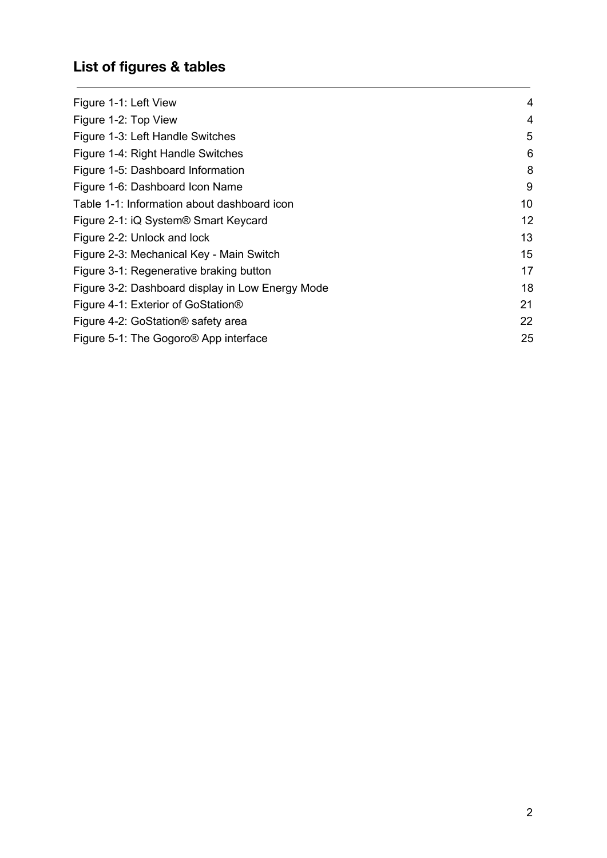# **List of figures & tables**

| Figure 1-1: Left View                            | 4  |
|--------------------------------------------------|----|
| Figure 1-2: Top View                             | 4  |
| Figure 1-3: Left Handle Switches                 | 5  |
| Figure 1-4: Right Handle Switches                | 6  |
| Figure 1-5: Dashboard Information                | 8  |
| Figure 1-6: Dashboard Icon Name                  | 9  |
| Table 1-1: Information about dashboard icon      | 10 |
| Figure 2-1: iQ System <sup>®</sup> Smart Keycard | 12 |
| Figure 2-2: Unlock and lock                      | 13 |
| Figure 2-3: Mechanical Key - Main Switch         | 15 |
| Figure 3-1: Regenerative braking button          | 17 |
| Figure 3-2: Dashboard display in Low Energy Mode | 18 |
| Figure 4-1: Exterior of GoStation®               | 21 |
| Figure 4-2: GoStation <sup>®</sup> safety area   | 22 |
| Figure 5-1: The Gogoro® App interface            | 25 |
|                                                  |    |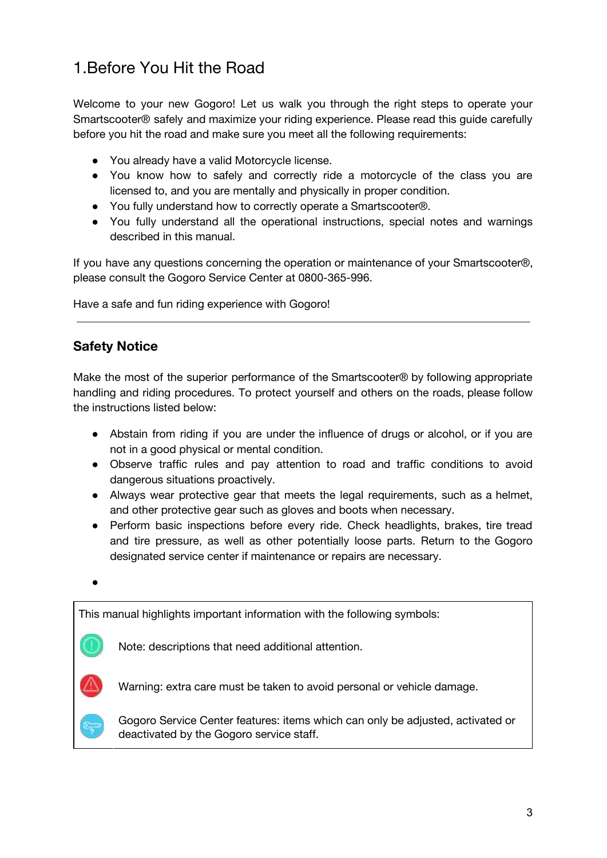# <span id="page-3-0"></span>1.Before You Hit the Road

Welcome to your new Gogoro! Let us walk you through the right steps to operate your Smartscooter® safely and maximize your riding experience. Please read this guide carefully before you hit the road and make sure you meet all the following requirements:

- You already have a valid Motorcycle license.
- You know how to safely and correctly ride a motorcycle of the class you are licensed to, and you are mentally and physically in proper condition.
- You fully understand how to correctly operate a Smartscooter®.
- You fully understand all the operational instructions, special notes and warnings described in this manual.

If you have any questions concerning the operation or maintenance of your Smartscooter®, please consult the Gogoro Service Center at 0800-365-996.

Have a safe and fun riding experience with Gogoro!

## <span id="page-3-1"></span>**Safety Notice**

Make the most of the superior performance of the Smartscooter® by following appropriate handling and riding procedures. To protect yourself and others on the roads, please follow the instructions listed below:

- Abstain from riding if you are under the influence of drugs or alcohol, or if you are not in a good physical or mental condition.
- Observe traffic rules and pay attention to road and traffic conditions to avoid dangerous situations proactively.
- Always wear protective gear that meets the legal requirements, such as a helmet, and other protective gear such as gloves and boots when necessary.
- Perform basic inspections before every ride. Check headlights, brakes, tire tread and tire pressure, as well as other potentially loose parts. Return to the Gogoro designated service center if maintenance or repairs are necessary.

 $\bullet$ 

This manual highlights important information with the following symbols:



Note: descriptions that need additional attention.



Warning: extra care must be taken to avoid personal or vehicle damage.

Gogoro Service Center features: items which can only be adjusted, activated or deactivated by the Gogoro service staff.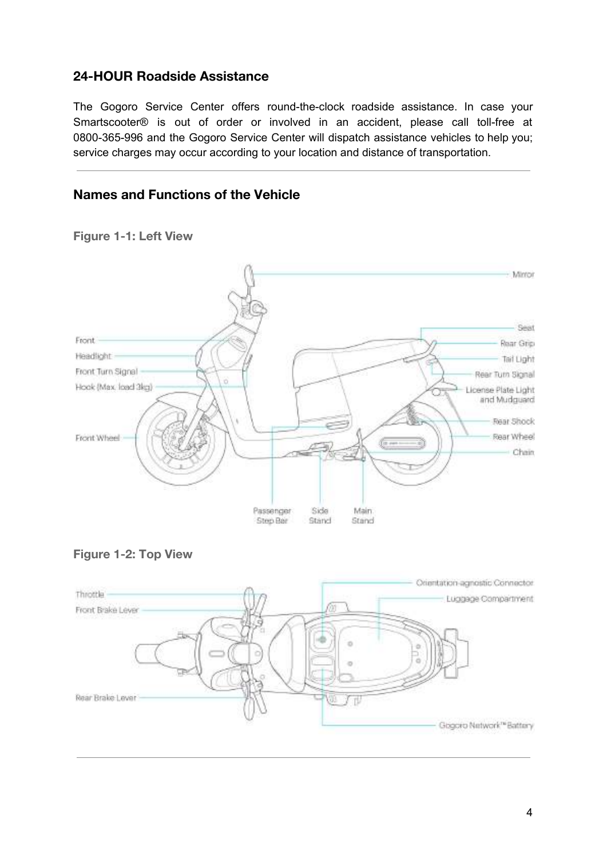## <span id="page-4-0"></span>**24-HOUR Roadside Assistance**

The Gogoro Service Center offers round-the-clock roadside assistance. In case your Smartscooter® is out of order or involved in an accident, please call toll-free at 0800-365-996 and the Gogoro Service Center will dispatch assistance vehicles to help you; service charges may occur according to your location and distance of transportation.

## <span id="page-4-1"></span>**Names and Functions of the Vehicle**



<span id="page-4-2"></span>**Figure 1-1: Left View**

<span id="page-4-3"></span>

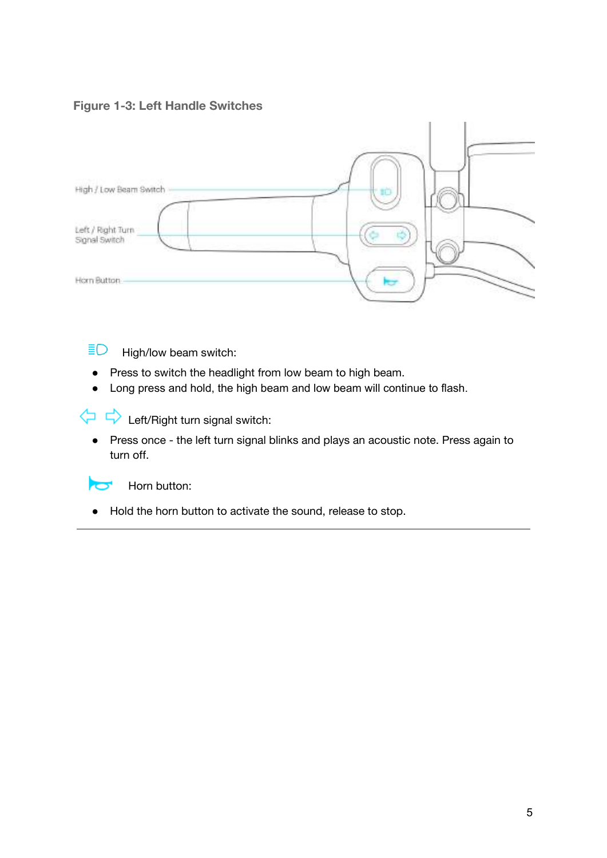#### <span id="page-5-0"></span>**Figure 1-3: Left Handle Switches**



 $\bar{E}$ High/low beam switch:

- Press to switch the headlight from low beam to high beam.
- Long press and hold, the high beam and low beam will continue to flash.

 $\Leftrightarrow$   $\Leftrightarrow$  Left/Right turn signal switch:

● Press once - the left turn signal blinks and plays an acoustic note. Press again to turn off.



Horn button:

● Hold the horn button to activate the sound, release to stop.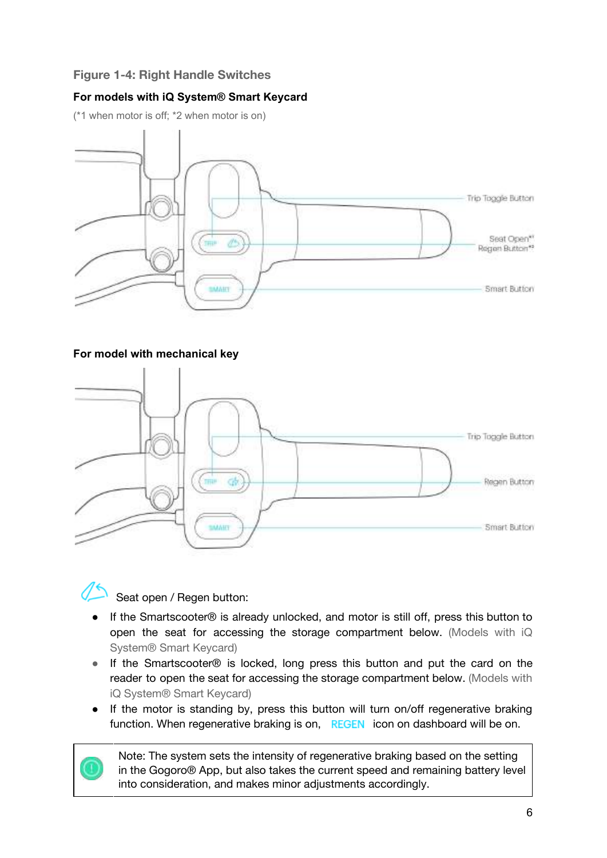#### <span id="page-6-0"></span>**Figure 1-4: Right Handle Switches**

#### **For models with iQ System® Smart Keycard**

(\*1 when motor is off; \*2 when motor is on)



#### **For model with mechanical key**



## Seat open / Regen button:

- If the Smartscooter® is already unlocked, and motor is still off, press this button to open the seat for accessing the storage compartment below. (Models with iQ System® Smart Keycard)
- If the Smartscooter® is locked, long press this button and put the card on the reader to open the seat for accessing the storage compartment below. (Models with iQ System® Smart Keycard)
- If the motor is standing by, press this button will turn on/off regenerative braking function. When regenerative braking is on, REGEN icon on dashboard will be on.

Note: The system sets the intensity of regenerative braking based on the setting in the Gogoro® App, but also takes the current speed and remaining battery level into consideration, and makes minor adjustments accordingly.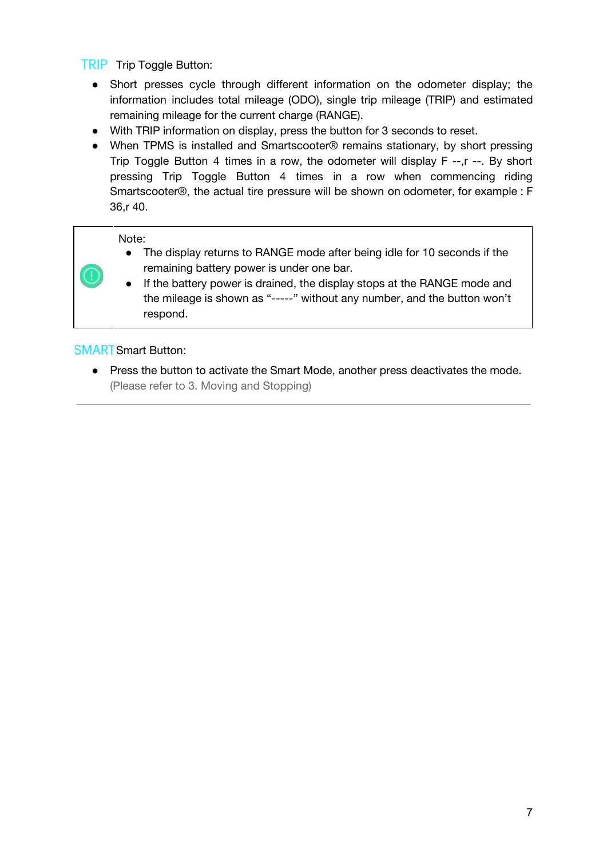**TRIP** Trip Toggle Button:

- Short presses cycle through different information on the odometer display; the information includes total mileage (ODO), single trip mileage (TRIP) and estimated remaining mileage for the current charge (RANGE).
- With TRIP information on display, press the button for 3 seconds to reset.
- When TPMS is installed and Smartscooter® remains stationary, by short pressing Trip Toggle Button 4 times in a row, the odometer will display F --,r --. By short pressing Trip Toggle Button 4 times in a row when commencing riding Smartscooter®, the actual tire pressure will be shown on odometer, for example : F 36,r 40.

#### Note:

- The display returns to RANGE mode after being idle for 10 seconds if the remaining battery power is under one bar.
- If the battery power is drained, the display stops at the RANGE mode and the mileage is shown as "-----" without any number, and the button won't respond.

#### **SMART** Smart Button:

● Press the button to activate the Smart Mode, another press deactivates the mode. (Please refer to 3. Moving and Stopping)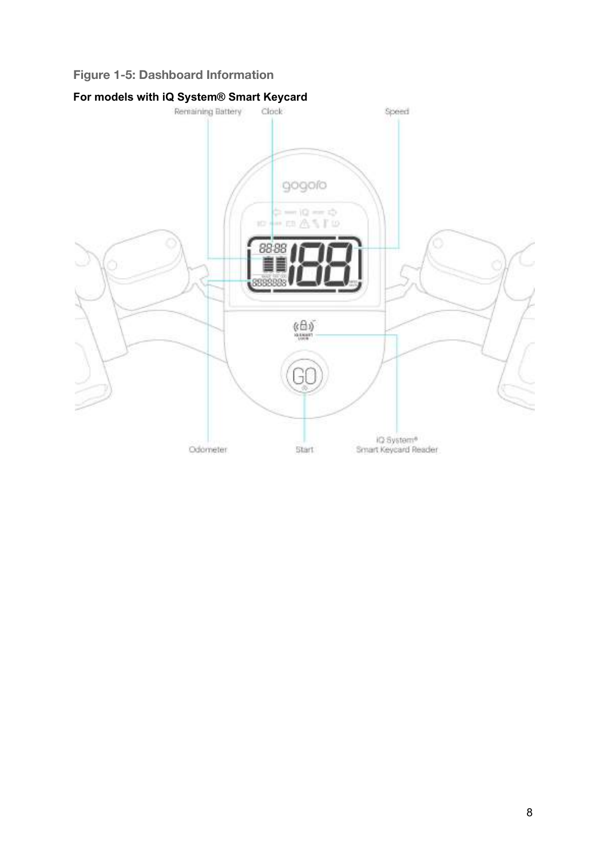#### <span id="page-8-0"></span>**Figure 1-5: Dashboard Information**

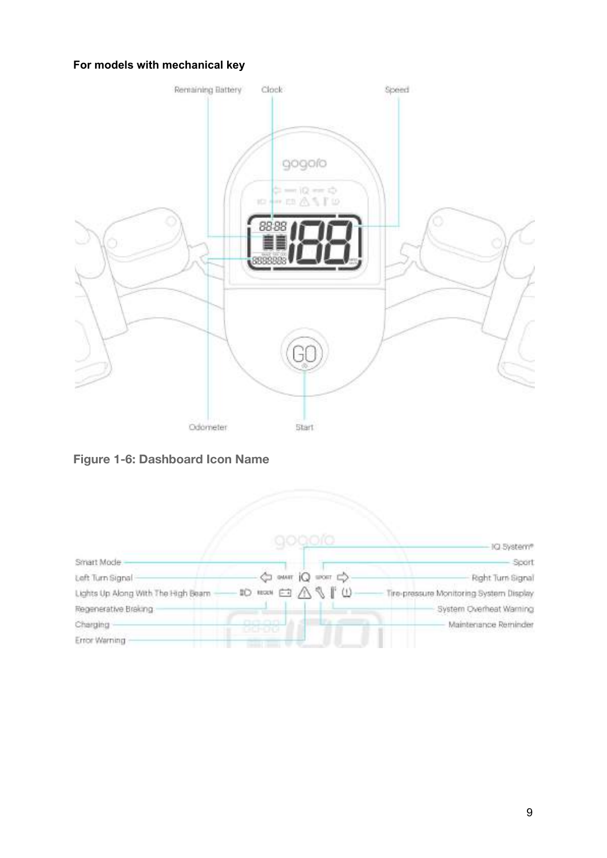#### **For models with mechanical key**



**Figure 1-6: Dashboard Icon Name**

<span id="page-9-1"></span><span id="page-9-0"></span>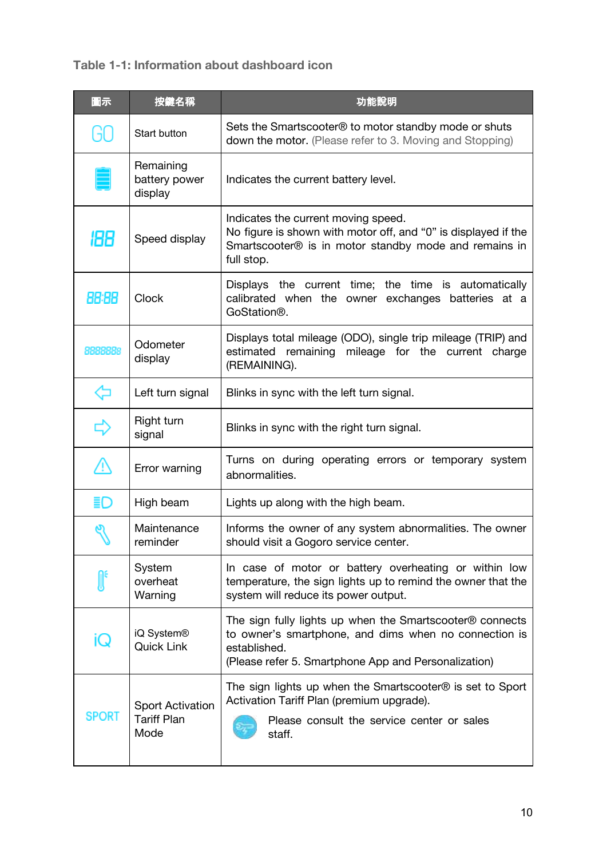## **Table 1-1: Information about dashboard icon**

| 圖示           | 按鍵名稱                                                  | 功能說明                                                                                                                                                                                      |
|--------------|-------------------------------------------------------|-------------------------------------------------------------------------------------------------------------------------------------------------------------------------------------------|
| GO           | Start button                                          | Sets the Smartscooter <sup>®</sup> to motor standby mode or shuts<br>down the motor. (Please refer to 3. Moving and Stopping)                                                             |
|              | Remaining<br>battery power<br>display                 | Indicates the current battery level.                                                                                                                                                      |
| 188          | Speed display                                         | Indicates the current moving speed.<br>No figure is shown with motor off, and "0" is displayed if the<br>Smartscooter® is in motor standby mode and remains in<br>full stop.              |
| 88:88        | <b>Clock</b>                                          | Displays the current time; the time is automatically<br>calibrated when the owner exchanges batteries at a<br>GoStation <sup>®</sup> .                                                    |
| 8888888      | Odometer<br>display                                   | Displays total mileage (ODO), single trip mileage (TRIP) and<br>estimated remaining mileage for the current charge<br>(REMAINING).                                                        |
| ⇦            | Left turn signal                                      | Blinks in sync with the left turn signal.                                                                                                                                                 |
| ⇨            | Right turn<br>signal                                  | Blinks in sync with the right turn signal.                                                                                                                                                |
| <u>∧</u>     | Error warning                                         | Turns on during operating errors or temporary system<br>abnormalities.                                                                                                                    |
| ≣O           | High beam                                             | Lights up along with the high beam.                                                                                                                                                       |
|              | Maintenance<br>reminder                               | Informs the owner of any system abnormalities. The owner<br>should visit a Gogoro service center.                                                                                         |
|              | System<br>overheat<br>Warning                         | In case of motor or battery overheating or within low<br>temperature, the sign lights up to remind the owner that the<br>system will reduce its power output.                             |
| lC.          | iQ System®<br><b>Quick Link</b>                       | The sign fully lights up when the Smartscooter® connects<br>to owner's smartphone, and dims when no connection is<br>established.<br>(Please refer 5. Smartphone App and Personalization) |
| <b>SPORT</b> | <b>Sport Activation</b><br><b>Tariff Plan</b><br>Mode | The sign lights up when the Smartscooter® is set to Sport<br>Activation Tariff Plan (premium upgrade).<br>Please consult the service center or sales<br>staff.                            |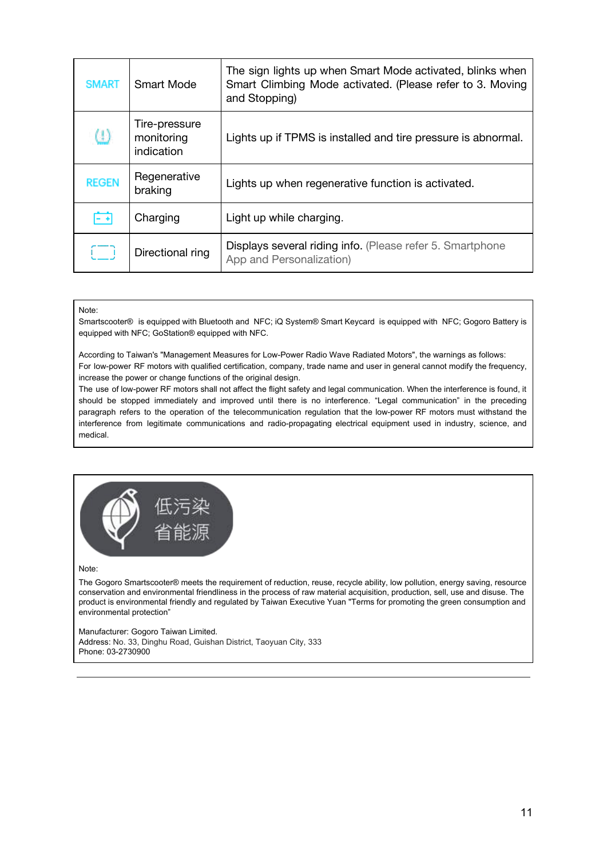| <b>SMART</b> | Smart Mode                                | The sign lights up when Smart Mode activated, blinks when<br>Smart Climbing Mode activated. (Please refer to 3. Moving<br>and Stopping) |
|--------------|-------------------------------------------|-----------------------------------------------------------------------------------------------------------------------------------------|
| - W          | Tire-pressure<br>monitoring<br>indication | Lights up if TPMS is installed and tire pressure is abnormal.                                                                           |
| <b>REGEN</b> | Regenerative<br>braking                   | Lights up when regenerative function is activated.                                                                                      |
| $- +$        | Charging                                  | Light up while charging.                                                                                                                |
| $\equiv$     | Directional ring                          | Displays several riding info. (Please refer 5. Smartphone<br>App and Personalization)                                                   |

#### Note:

Smartscooter® is equipped with Bluetooth and NFC; iQ System® Smart Keycard is equipped with NFC; Gogoro Battery is equipped with NFC; GoStation® equipped with NFC.

According to Taiwan's "Management Measures for Low-Power Radio Wave Radiated Motors", the warnings as follows: For low-power RF motors with qualified certification, company, trade name and user in general cannot modify the frequency, increase the power or change functions of the original design.

The use of low-power RF motors shall not affect the flight safety and legal communication. When the interference is found, it should be stopped immediately and improved until there is no interference. "Legal communication" in the preceding paragraph refers to the operation of the telecommunication regulation that the low-power RF motors must withstand the interference from legitimate communications and radio-propagating electrical equipment used in industry, science, and medical.



#### Note:

The Gogoro Smartscooter® meets the requirement of reduction, reuse, recycle ability, low pollution, energy saving, resource conservation and environmental friendliness in the process of raw material acquisition, production, sell, use and disuse. The product is environmental friendly and regulated by Taiwan Executive Yuan "Terms for promoting the green consumption and environmental protection"

Manufacturer: Gogoro Taiwan Limited. Address: No. 33, Dinghu Road, Guishan District, Taoyuan City, 333 Phone: 03-2730900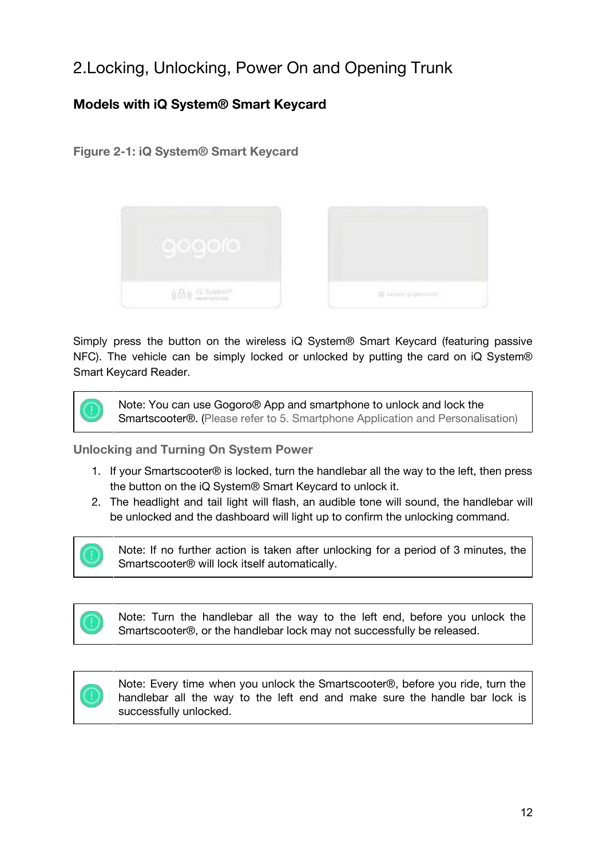# <span id="page-12-0"></span>2.Locking, Unlocking, Power On and Opening Trunk

## <span id="page-12-1"></span>**Models with iQ System® Smart Keycard**

#### <span id="page-12-3"></span>**Figure 2-1: iQ System® Smart Keycard**



Simply press the button on the wireless iQ System® Smart Keycard (featuring passive NFC). The vehicle can be simply locked or unlocked by putting the card on iQ System® Smart Keycard Reader.



Note: You can use Gogoro® App and smartphone to unlock and lock the Smartscooter®. (Please refer to 5. Smartphone Application and Personalisation)

<span id="page-12-2"></span>**Unlocking and Turning On System Power**

- 1. If your Smartscooter® is locked, turn the handlebar all the way to the left, then press the button on the iQ System® Smart Keycard to unlock it.
- 2. The headlight and tail light will flash, an audible tone will sound, the handlebar will be unlocked and the dashboard will light up to confirm the unlocking command.



Note: If no further action is taken after unlocking for a period of 3 minutes, the Smartscooter® will lock itself automatically.

Note: Turn the handlebar all the way to the left end, before you unlock the Smartscooter®, or the handlebar lock may not successfully be released.



Note: Every time when you unlock the Smartscooter®, before you ride, turn the handlebar all the way to the left end and make sure the handle bar lock is successfully unlocked.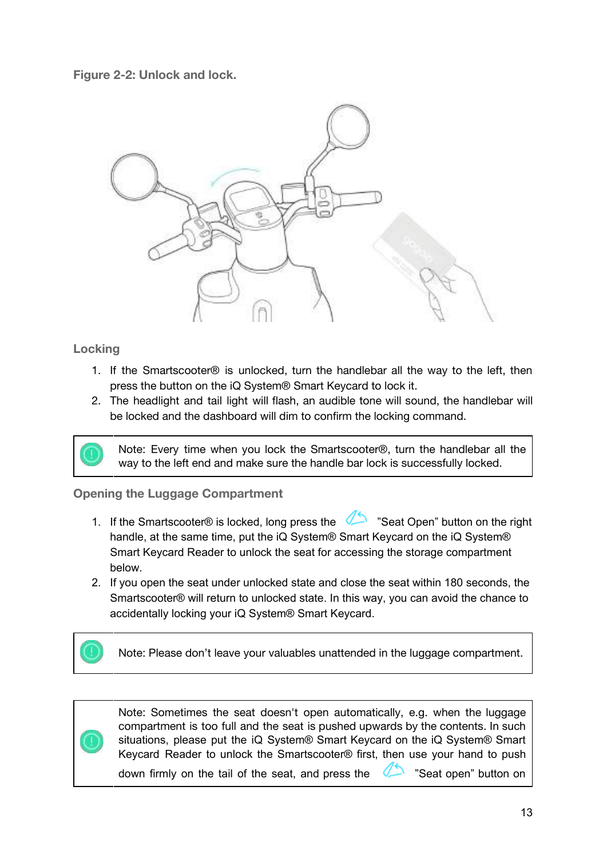<span id="page-13-2"></span>**Figure 2-2: Unlock and lock.**



#### <span id="page-13-0"></span>**Locking**

- 1. If the Smartscooter® is unlocked, turn the handlebar all the way to the left, then press the button on the iQ System® Smart Keycard to lock it.
- 2. The headlight and tail light will flash, an audible tone will sound, the handlebar will be locked and the dashboard will dim to confirm the locking command.



Note: Every time when you lock the Smartscooter®, turn the handlebar all the way to the left end and make sure the handle bar lock is successfully locked.

#### <span id="page-13-1"></span>**Opening the Luggage Compartment**

- 1. If the Smartscooter® is locked, long press the "Seat Open" button on the right handle, at the same time, put the iQ System® Smart Keycard on the iQ System® Smart Keycard Reader to unlock the seat for accessing the storage compartment below.
- 2. If you open the seat under unlocked state and close the seat within 180 seconds, the Smartscooter® will return to unlocked state. In this way, you can avoid the chance to accidentally locking your iQ System® Smart Keycard.





Note: Sometimes the seat doesn't open automatically, e.g. when the luggage compartment is too full and the seat is pushed upwards by the contents. In such situations, please put the iQ System® Smart Keycard on the iQ System® Smart Keycard Reader to unlock the Smartscooter® first, then use your hand to push down firmly on the tail of the seat, and press the  $\Box$  "Seat open" button on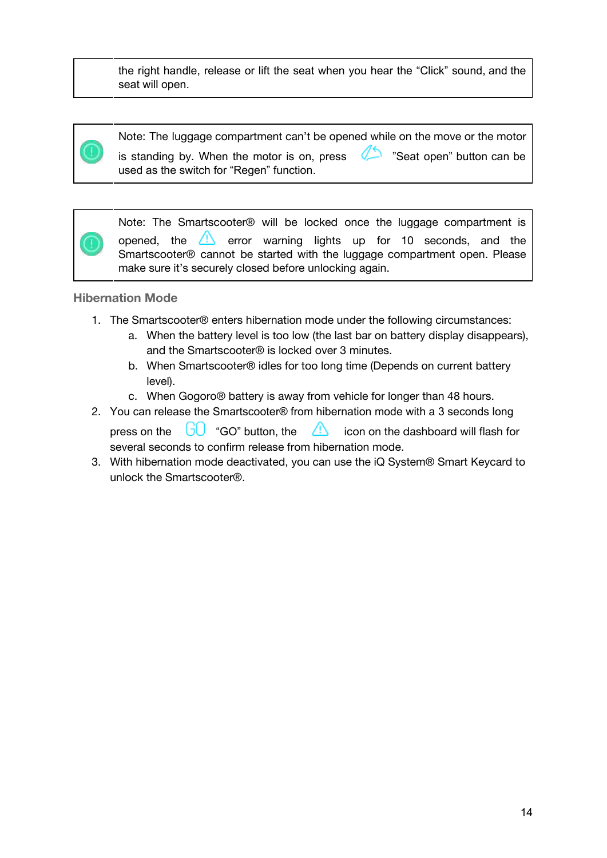the right handle, release or lift the seat when you hear the "Click" sound, and the seat will open.



Note: The luggage compartment can't be opened while on the move or the motor is standing by. When the motor is on, press  $\Box$  "Seat open" button can be used as the switch for "Regen" function.

Note: The Smartscooter® will be locked once the luggage compartment is opened, the  $\Box$  error warning lights up for 10 seconds, and the Smartscooter® cannot be started with the luggage compartment open. Please make sure it's securely closed before unlocking again.

#### <span id="page-14-0"></span>**Hibernation Mode**

- 1. The Smartscooter® enters hibernation mode under the following circumstances:
	- a. When the battery level is too low (the last bar on battery display disappears), and the Smartscooter® is locked over 3 minutes.
	- b. When Smartscooter® idles for too long time (Depends on current battery level).
	- c. When Gogoro® battery is away from vehicle for longer than 48 hours.
- 2. You can release the Smartscooter® from hibernation mode with a 3 seconds long press on the  $\Box$  "GO" button, the  $\Box$  icon on the dashboard will flash for several seconds to confirm release from hibernation mode.
- 3. With hibernation mode deactivated, you can use the iQ System® Smart Keycard to unlock the Smartscooter®.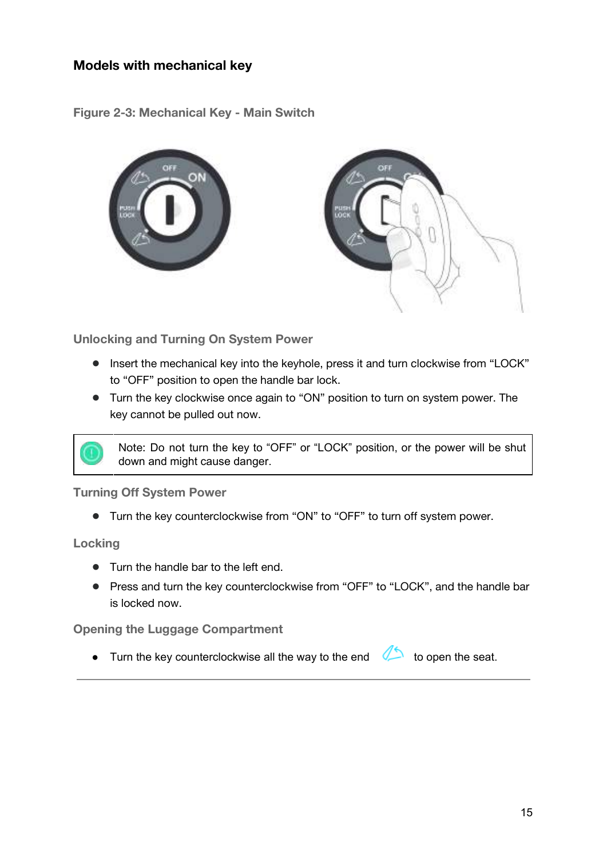## <span id="page-15-0"></span>**Models with mechanical key**

<span id="page-15-5"></span>**Figure 2-3: Mechanical Key - Main Switch**



<span id="page-15-1"></span>**Unlocking and Turning On System Power**

- Insert the mechanical key into the keyhole, press it and turn clockwise from "LOCK" to "OFF" position to open the handle bar lock.
- Turn the key clockwise once again to "ON" position to turn on system power. The key cannot be pulled out now.



<span id="page-15-2"></span>**Turning Off System Power**

● Turn the key counterclockwise from "ON" to "OFF" to turn off system power.

<span id="page-15-3"></span>**Locking**

- Turn the handle bar to the left end.
- Press and turn the key counterclockwise from "OFF" to "LOCK", and the handle bar is locked now.

<span id="page-15-4"></span>**Opening the Luggage Compartment**

• Turn the key counterclockwise all the way to the end to open the seat.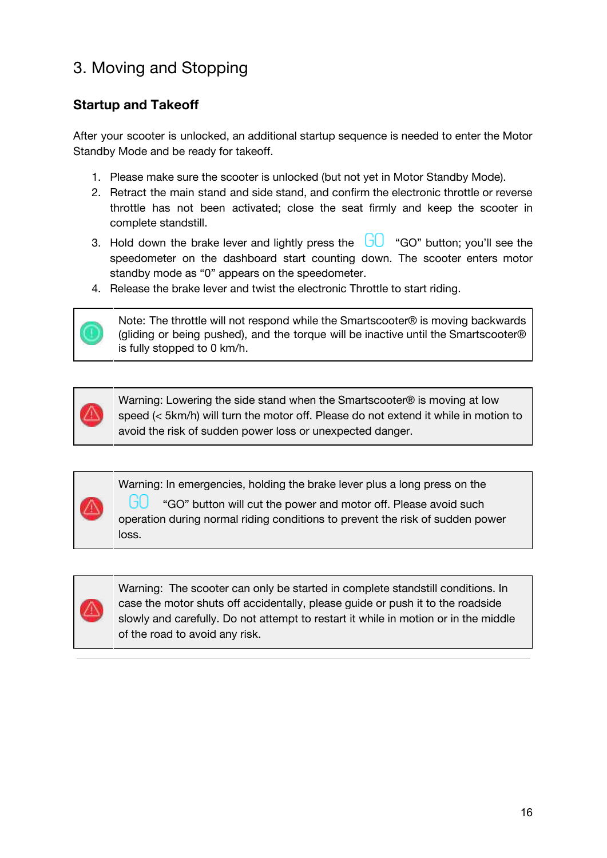# <span id="page-16-0"></span>3. Moving and Stopping

## <span id="page-16-1"></span>**Startup and Takeoff**

After your scooter is unlocked, an additional startup sequence is needed to enter the Motor Standby Mode and be ready for takeoff.

- 1. Please make sure the scooter is unlocked (but not yet in Motor Standby Mode).
- 2. Retract the main stand and side stand, and confirm the electronic throttle or reverse throttle has not been activated; close the seat firmly and keep the scooter in complete standstill.
- 3. Hold down the brake lever and lightly press the  $\overline{\bigcup}$  "GO" button; you'll see the speedometer on the dashboard start counting down. The scooter enters motor standby mode as "0" appears on the speedometer.
- 4. Release the brake lever and twist the electronic Throttle to start riding.



Note: The throttle will not respond while the Smartscooter® is moving backwards (gliding or being pushed), and the torque will be inactive until the Smartscooter® is fully stopped to 0 km/h.



Warning: Lowering the side stand when the Smartscooter® is moving at low speed (< 5km/h) will turn the motor off. Please do not extend it while in motion to avoid the risk of sudden power loss or unexpected danger.

Warning: In emergencies, holding the brake lever plus a long press on the

"GO" button will cut the power and motor off. Please avoid such operation during normal riding conditions to prevent the risk of sudden power loss.



Warning: The scooter can only be started in complete standstill conditions. In case the motor shuts off accidentally, please guide or push it to the roadside slowly and carefully. Do not attempt to restart it while in motion or in the middle of the road to avoid any risk.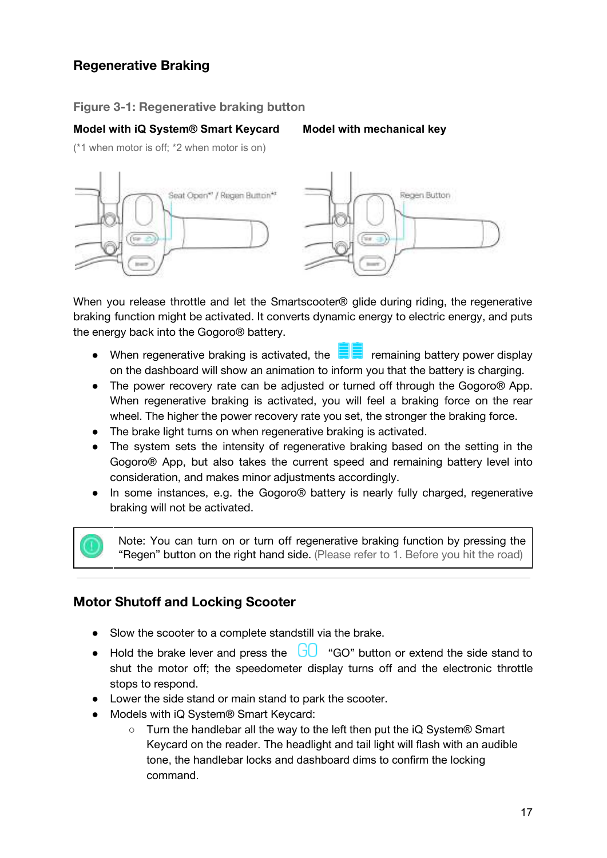## <span id="page-17-0"></span>**Regenerative Braking**

#### <span id="page-17-2"></span>**Figure 3-1: Regenerative braking button**

#### **Model with iQ System® Smart Keycard Model with mechanical key**

(\*1 when motor is off; \*2 when motor is on)



When you release throttle and let the Smartscooter<sup>®</sup> glide during riding, the regenerative braking function might be activated. It converts dynamic energy to electric energy, and puts the energy back into the Gogoro® battery.

- When regenerative braking is activated, the  $\blacksquare$  remaining battery power display on the dashboard will show an animation to inform you that the battery is charging.
- The power recovery rate can be adjusted or turned off through the Gogoro® App. When regenerative braking is activated, you will feel a braking force on the rear wheel. The higher the power recovery rate you set, the stronger the braking force.
- The brake light turns on when regenerative braking is activated.
- The system sets the intensity of regenerative braking based on the setting in the Gogoro® App, but also takes the current speed and remaining battery level into consideration, and makes minor adjustments accordingly.
- In some instances, e.g. the Gogoro® battery is nearly fully charged, regenerative braking will not be activated.

Note: You can turn on or turn off regenerative braking function by pressing the "Regen" button on the right hand side. (Please refer to 1. Before you hit the road)

#### <span id="page-17-1"></span>**Motor Shutoff and Locking Scooter**

- Slow the scooter to a complete standstill via the brake.
- Hold the brake lever and press the  $\overline{60}$  "GO" button or extend the side stand to shut the motor off; the speedometer display turns off and the electronic throttle stops to respond.
- Lower the side stand or main stand to park the scooter.
- Models with iQ System<sup>®</sup> Smart Keycard:
	- Turn the handlebar all the way to the left then put the iQ System® Smart Keycard on the reader. The headlight and tail light will flash with an audible tone, the handlebar locks and dashboard dims to confirm the locking command.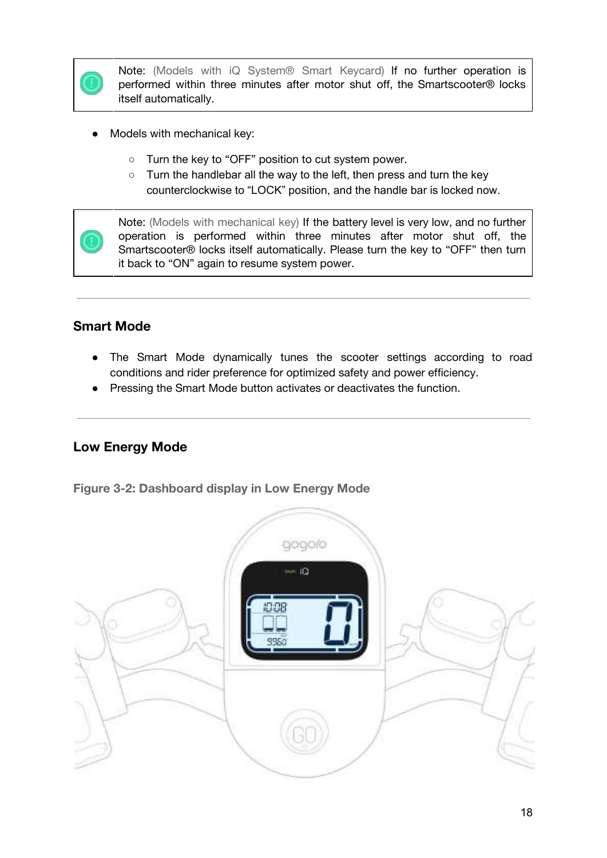

Note: (Models with iQ System® Smart Keycard) If no further operation is performed within three minutes after motor shut off, the Smartscooter® locks itself automatically.

- Models with mechanical key:
	- Turn the key to "OFF" position to cut system power.
	- Turn the handlebar all the way to the left, then press and turn the key counterclockwise to "LOCK" position, and the handle bar is locked now.



Note: (Models with mechanical key) If the battery level is very low, and no further operation is performed within three minutes after motor shut off, the Smartscooter® locks itself automatically. Please turn the key to "OFF" then turn it back to "ON" again to resume system power.

## <span id="page-18-0"></span>**Smart Mode**

- The Smart Mode dynamically tunes the scooter settings according to road conditions and rider preference for optimized safety and power efficiency.
- Pressing the Smart Mode button activates or deactivates the function.

## <span id="page-18-1"></span>**Low Energy Mode**

<span id="page-18-2"></span>**Figure 3-2: Dashboard display in Low Energy Mode**

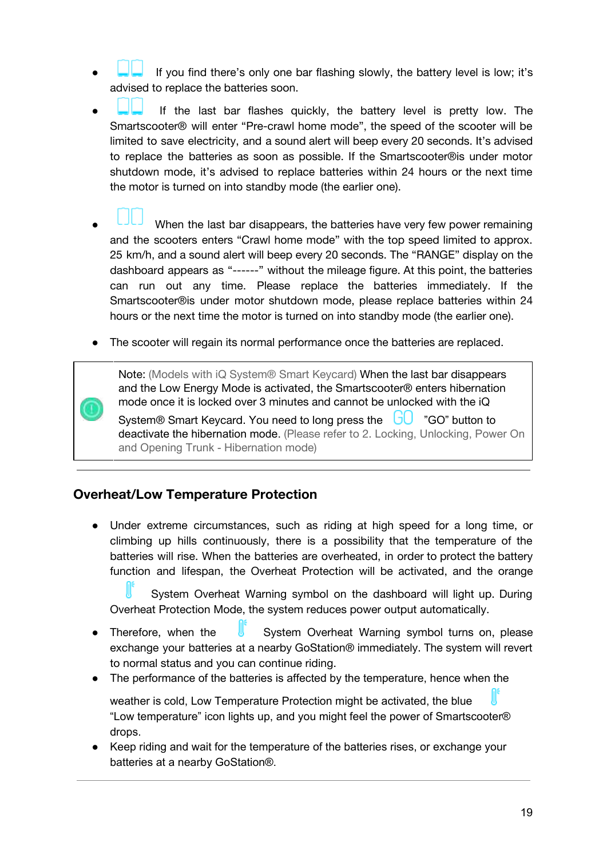- If you find there's only one bar flashing slowly, the battery level is low; it's advised to replace the batteries soon.
- If the last bar flashes quickly, the battery level is pretty low. The Smartscooter® will enter "Pre-crawl home mode", the speed of the scooter will be limited to save electricity, and a sound alert will beep every 20 seconds. It's advised to replace the batteries as soon as possible. If the Smartscooter®is under motor shutdown mode, it's advised to replace batteries within 24 hours or the next time the motor is turned on into standby mode (the earlier one).
- When the last bar disappears, the batteries have very few power remaining and the scooters enters "Crawl home mode" with the top speed limited to approx. 25 km/h, and a sound alert will beep every 20 seconds. The "RANGE" display on the dashboard appears as "------" without the mileage figure. At this point, the batteries can run out any time. Please replace the batteries immediately. If the Smartscooter®is under motor shutdown mode, please replace batteries within 24 hours or the next time the motor is turned on into standby mode (the earlier one).
- The scooter will regain its normal performance once the batteries are replaced.

Note: (Models with iQ System® Smart Keycard) When the last bar disappears and the Low Energy Mode is activated, the Smartscooter® enters hibernation mode once it is locked over 3 minutes and cannot be unlocked with the iQ

System® Smart Keycard. You need to long press the UU "GO" button to deactivate the hibernation mode. (Please refer to 2. Locking, Unlocking, Power On and Opening Trunk - Hibernation mode)

#### <span id="page-19-0"></span>**Overheat/Low Temperature Protection**

Under extreme circumstances, such as riding at high speed for a long time, or climbing up hills continuously, there is a possibility that the temperature of the batteries will rise. When the batteries are overheated, in order to protect the battery function and lifespan, the Overheat Protection will be activated, and the orange

System Overheat Warning symbol on the dashboard will light up. During Overheat Protection Mode, the system reduces power output automatically.

- Therefore, when the **U** System Overheat Warning symbol turns on, please exchange your batteries at a nearby GoStation® immediately. The system will revert to normal status and you can continue riding.
- The performance of the batteries is affected by the temperature, hence when the

weather is cold, Low Temperature Protection might be activated, the blue "Low temperature" icon lights up, and you might feel the power of Smartscooter® drops.

● Keep riding and wait for the temperature of the batteries rises, or exchange your batteries at a nearby GoStation®.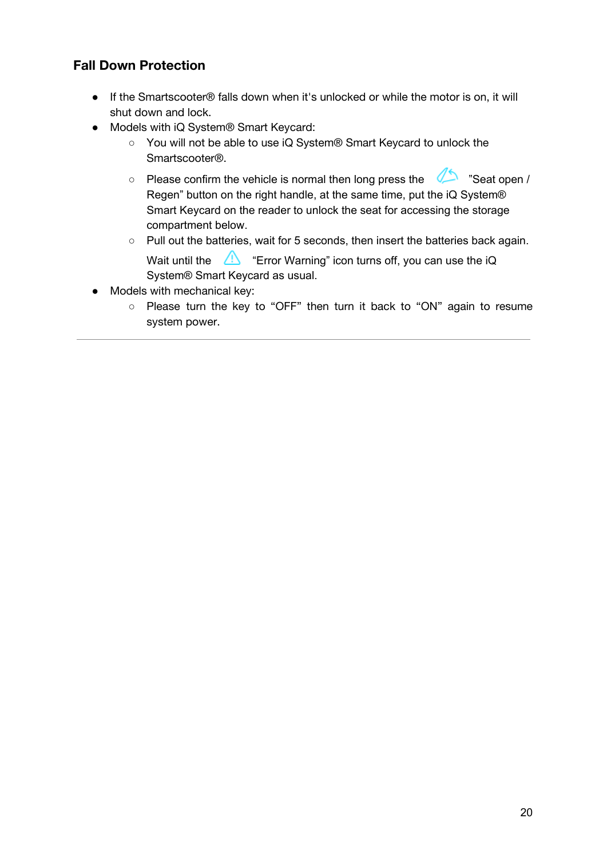## <span id="page-20-0"></span>**Fall Down Protection**

- If the Smartscooter® falls down when it's unlocked or while the motor is on, it will shut down and lock.
- Models with iQ System® Smart Keycard:
	- You will not be able to use iQ System® Smart Keycard to unlock the Smartscooter®.
	- Please confirm the vehicle is normal then long press the  $\Box$  "Seat open / Regen" button on the right handle, at the same time, put the iQ System® Smart Keycard on the reader to unlock the seat for accessing the storage compartment below.
	- Pull out the batteries, wait for 5 seconds, then insert the batteries back again.
		- Wait until the  $\mathbb{A}$  "Error Warning" icon turns off, you can use the iQ System® Smart Keycard as usual.
- Models with mechanical key:
	- Please turn the key to "OFF" then turn it back to "ON" again to resume system power.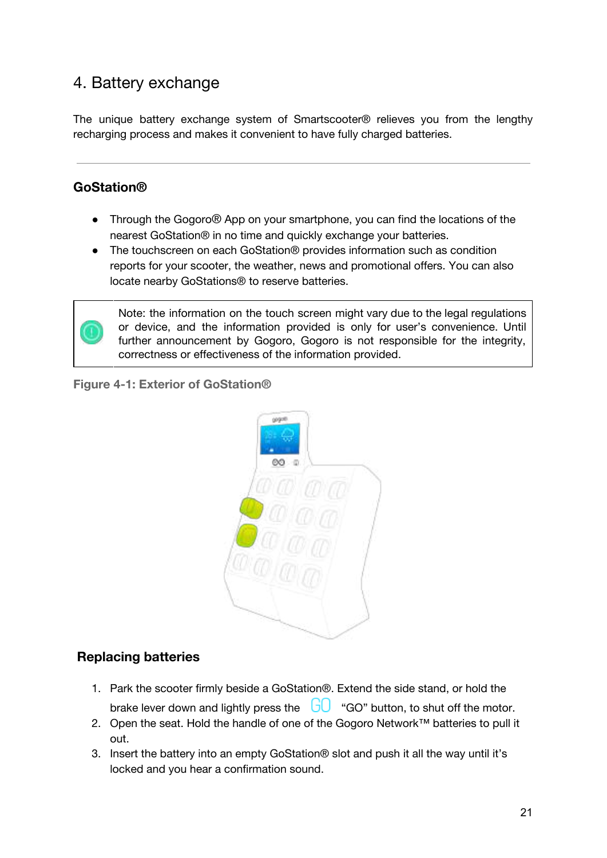## <span id="page-21-0"></span>4. Battery exchange

The unique battery exchange system of Smartscooter® relieves you from the lengthy recharging process and makes it convenient to have fully charged batteries.

## <span id="page-21-1"></span>**GoStation®**

- Through the Gogoro® App on your smartphone, you can find the locations of the nearest GoStation® in no time and quickly exchange your batteries.
- The touchscreen on each GoStation® provides information such as condition reports for your scooter, the weather, news and promotional offers. You can also locate nearby GoStations® to reserve batteries.



Note: the information on the touch screen might vary due to the legal regulations or device, and the information provided is only for user's convenience. Until further announcement by Gogoro, Gogoro is not responsible for the integrity, correctness or effectiveness of the information provided.

<span id="page-21-3"></span>**Figure 4-1: Exterior of GoStation®**



## <span id="page-21-2"></span>**Replacing batteries**

- 1. Park the scooter firmly beside a GoStation®. Extend the side stand, or hold the brake lever down and lightly press the  $\Box$  "GO" button, to shut off the motor.
- 2. Open the seat. Hold the handle of one of the Gogoro Network™ batteries to pull it out.
- 3. Insert the battery into an empty GoStation® slot and push it all the way until it's locked and you hear a confirmation sound.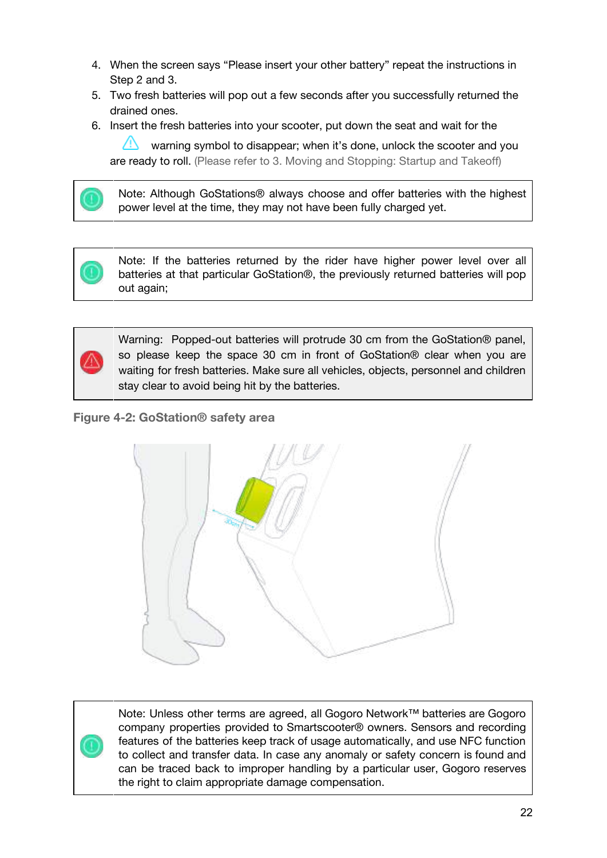- 4. When the screen says "Please insert your other battery" repeat the instructions in Step 2 and 3.
- 5. Two fresh batteries will pop out a few seconds after you successfully returned the drained ones.
- 6. Insert the fresh batteries into your scooter, put down the seat and wait for the

warning symbol to disappear; when it's done, unlock the scooter and you are ready to roll. (Please refer to 3. Moving and Stopping: Startup and Takeoff)



Note: Although GoStations® always choose and offer batteries with the highest power level at the time, they may not have been fully charged yet.





Warning: Popped-out batteries will protrude 30 cm from the GoStation® panel, so please keep the space 30 cm in front of GoStation® clear when you are waiting for fresh batteries. Make sure all vehicles, objects, personnel and children stay clear to avoid being hit by the batteries.

<span id="page-22-0"></span>**Figure 4-2: GoStation® safety area**



Note: Unless other terms are agreed, all Gogoro Network™ batteries are Gogoro company properties provided to Smartscooter® owners. Sensors and recording features of the batteries keep track of usage automatically, and use NFC function to collect and transfer data. In case any anomaly or safety concern is found and can be traced back to improper handling by a particular user, Gogoro reserves the right to claim appropriate damage compensation.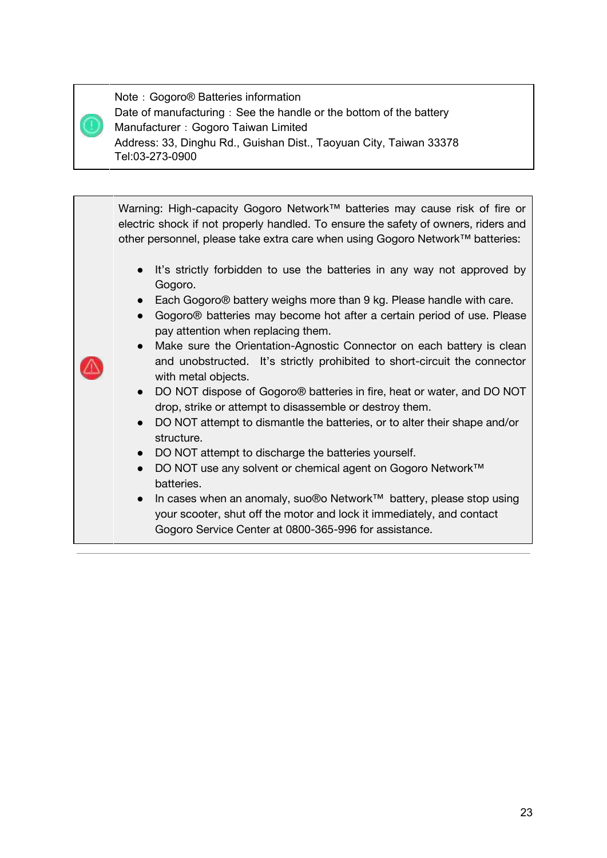Note: Gogoro<sup>®</sup> Batteries information Date of manufacturing: See the handle or the bottom of the battery Manufacturer: Gogoro Taiwan Limited Address: 33, Dinghu Rd., Guishan Dist., Taoyuan City, Taiwan 33378 Tel:03-273-0900

Warning: High-capacity Gogoro Network™ batteries may cause risk of fire or electric shock if not properly handled. To ensure the safety of owners, riders and other personnel, please take extra care when using Gogoro Network™ batteries: • It's strictly forbidden to use the batteries in any way not approved by Gogoro. ● Each Gogoro<sup>®</sup> battery weighs more than 9 kg. Please handle with care. ● Gogoro® batteries may become hot after a certain period of use. Please pay attention when replacing them. ● Make sure the Orientation-Agnostic Connector on each battery is clean and unobstructed. It's strictly prohibited to short-circuit the connector with metal objects. ● DO NOT dispose of Gogoro<sup>®</sup> batteries in fire, heat or water, and DO NOT drop, strike or attempt to disassemble or destroy them. ● DO NOT attempt to dismantle the batteries, or to alter their shape and/or structure. ● DO NOT attempt to discharge the batteries yourself. ● DO NOT use any solvent or chemical agent on Gogoro Network™ batteries. ● In cases when an anomaly, suo®o Network™ battery, please stop using your scooter, shut off the motor and lock it immediately, and contact Gogoro Service Center at 0800-365-996 for assistance.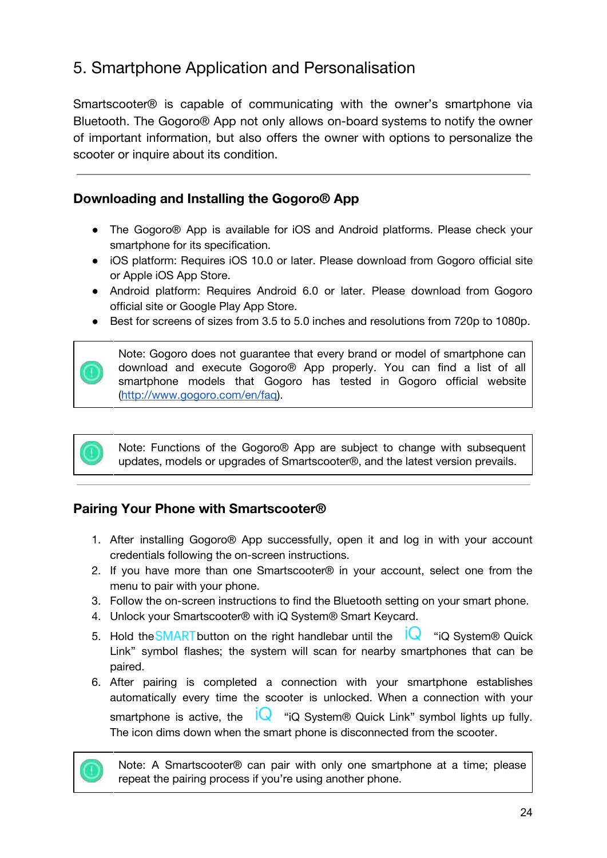# <span id="page-24-0"></span>5. Smartphone Application and Personalisation

Smartscooter® is capable of communicating with the owner's smartphone via Bluetooth. The Gogoro® App not only allows on-board systems to notify the owner of important information, but also offers the owner with options to personalize the scooter or inquire about its condition.

## <span id="page-24-1"></span>**Downloading and Installing the Gogoro® App**

- The Gogoro® App is available for iOS and Android platforms. Please check your smartphone for its specification.
- iOS platform: Requires iOS 10.0 or later. Please download from Gogoro official site or Apple iOS App Store.
- Android platform: Requires Android 6.0 or later. Please download from Gogoro official site or Google Play App Store.
- Best for screens of sizes from 3.5 to 5.0 inches and resolutions from 720p to 1080p.



Note: Gogoro does not guarantee that every brand or model of smartphone can download and execute Gogoro® App properly. You can find a list of all smartphone models that Gogoro has tested in Gogoro official website [\(http://www.gogoro.com/en/faq](http://www.gogoro.com/en/faq)).

Note: Functions of the Gogoro® App are subject to change with subsequent updates, models or upgrades of Smartscooter®, and the latest version prevails.

## <span id="page-24-2"></span>**Pairing Your Phone with Smartscooter®**

- 1. After installing Gogoro® App successfully, open it and log in with your account credentials following the on-screen instructions.
- 2. If you have more than one Smartscooter® in your account, select one from the menu to pair with your phone.
- 3. Follow the on-screen instructions to find the Bluetooth setting on your smart phone.
- 4. Unlock your Smartscooter® with iQ System® Smart Keycard.
- 5. Hold the **SMART** button on the right handlebar until the  $\overline{Q}$  "iQ System® Quick Link" symbol flashes; the system will scan for nearby smartphones that can be paired.
- 6. After pairing is completed a connection with your smartphone establishes automatically every time the scooter is unlocked. When a connection with your smartphone is active, the  $\sqrt{\phantom{a}}$  "iQ System® Quick Link" symbol lights up fully. The icon dims down when the smart phone is disconnected from the scooter.



Note: A Smartscooter® can pair with only one smartphone at a time; please repeat the pairing process if you're using another phone.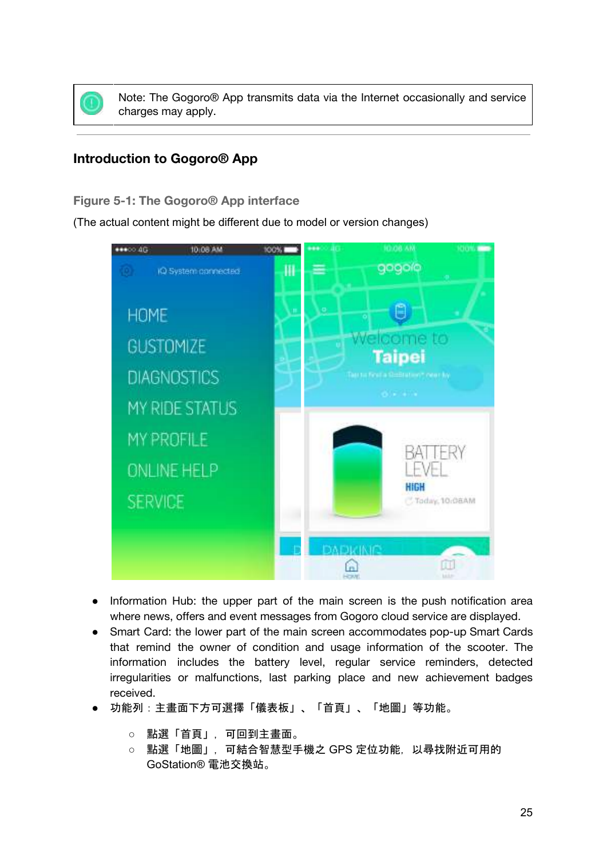

Note: The Gogoro® App transmits data via the Internet occasionally and service charges may apply.

## <span id="page-25-0"></span>**Introduction to Gogoro® App**

#### <span id="page-25-1"></span>**Figure 5-1: The Gogoro® App interface**

(The actual content might be different due to model or version changes)



- Information Hub: the upper part of the main screen is the push notification area where news, offers and event messages from Gogoro cloud service are displayed.
- Smart Card: the lower part of the main screen accommodates pop-up Smart Cards that remind the owner of condition and usage information of the scooter. The information includes the battery level, regular service reminders, detected irregularities or malfunctions, last parking place and new achievement badges received.
- 功能列:主畫面下方可選擇「儀表板」、「首頁」、「地圖」等功能。
	- 點選「首頁」,可回到主畫面。
	- 點選「地圖」,可結合智慧型手機之 GPS 定位功能,以尋找附近可用的 GoStation® 電池交換站。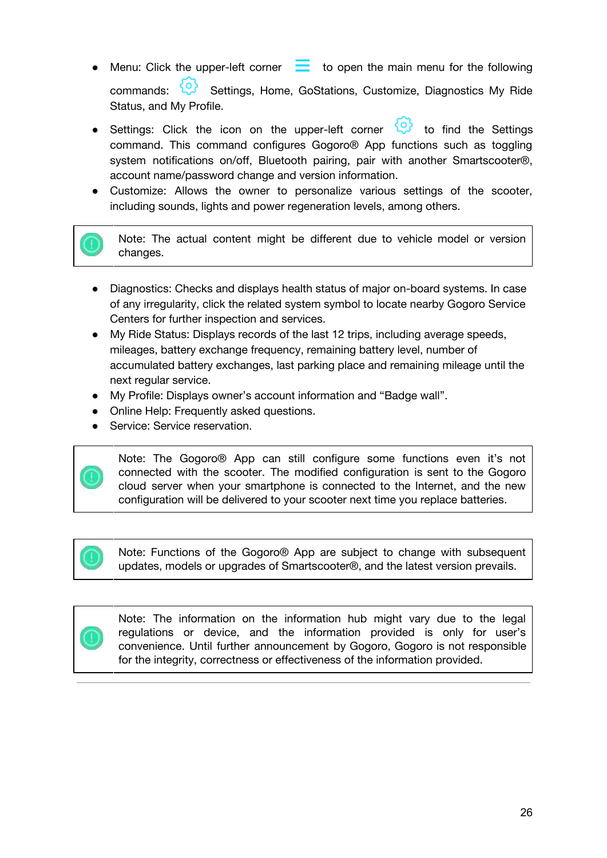- Menu: Click the upper-left corner  $\Box$  to open the main menu for the following commands: Settings, Home, GoStations, Customize, Diagnostics My Ride Status, and My Profile.
- Settings: Click the icon on the upper-left corner  $\mathbb{Q}^3$  to find the Settings command. This command configures Gogoro® App functions such as toggling system notifications on/off, Bluetooth pairing, pair with another Smartscooter®, account name/password change and version information.
- Customize: Allows the owner to personalize various settings of the scooter, including sounds, lights and power regeneration levels, among others.

Note: The actual content might be different due to vehicle model or version changes.

- Diagnostics: Checks and displays health status of major on-board systems. In case of any irregularity, click the related system symbol to locate nearby Gogoro Service Centers for further inspection and services.
- My Ride Status: Displays records of the last 12 trips, including average speeds, mileages, battery exchange frequency, remaining battery level, number of accumulated battery exchanges, last parking place and remaining mileage until the next regular service.
- My Profile: Displays owner's account information and "Badge wall".
- Online Help: Frequently asked questions.
- Service: Service reservation.



Note: The Gogoro® App can still configure some functions even it's not connected with the scooter. The modified configuration is sent to the Gogoro cloud server when your smartphone is connected to the Internet, and the new configuration will be delivered to your scooter next time you replace batteries.

Note: Functions of the Gogoro® App are subject to change with subsequent updates, models or upgrades of Smartscooter®, and the latest version prevails.



Note: The information on the information hub might vary due to the legal regulations or device, and the information provided is only for user's convenience. Until further announcement by Gogoro, Gogoro is not responsible for the integrity, correctness or effectiveness of the information provided.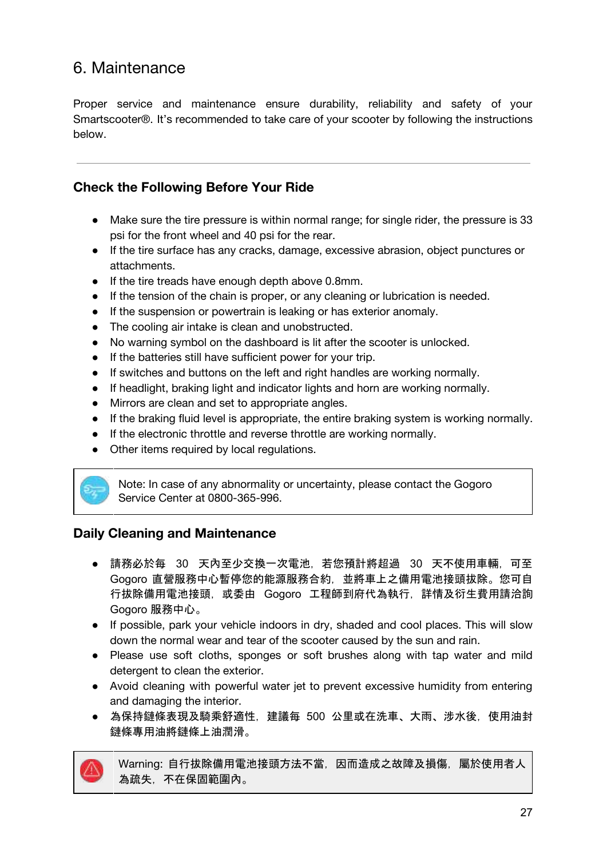# <span id="page-27-0"></span>6. Maintenance

Proper service and maintenance ensure durability, reliability and safety of your Smartscooter®. It's recommended to take care of your scooter by following the instructions below.

## <span id="page-27-1"></span>**Check the Following Before Your Ride**

- Make sure the tire pressure is within normal range; for single rider, the pressure is 33 psi for the front wheel and 40 psi for the rear.
- If the tire surface has any cracks, damage, excessive abrasion, object punctures or attachments.
- If the tire treads have enough depth above 0.8mm.
- If the tension of the chain is proper, or any cleaning or lubrication is needed.
- If the suspension or powertrain is leaking or has exterior anomaly.
- The cooling air intake is clean and unobstructed.
- No warning symbol on the dashboard is lit after the scooter is unlocked.
- If the batteries still have sufficient power for your trip.
- If switches and buttons on the left and right handles are working normally.
- If headlight, braking light and indicator lights and horn are working normally.
- Mirrors are clean and set to appropriate angles.
- If the braking fluid level is appropriate, the entire braking system is working normally.
- If the electronic throttle and reverse throttle are working normally.
- Other items required by local regulations.



Note: In case of any abnormality or uncertainty, please contact the Gogoro Service Center at 0800-365-996.

## <span id="page-27-2"></span>**Daily Cleaning and Maintenance**

- 請務必於每 30 天內至少交換一次電池,若您預計將超過 30 天不使用車輛,可至 Gogoro 直營服務中心暫停您的能源服務合約,並將車上之備用電池接頭拔除。您可自 行拔除備用電池接頭,或委由 Gogoro 工程師到府代為執行,詳情及衍生費用請洽詢 Gogoro 服務中心。
- If possible, park your vehicle indoors in dry, shaded and cool places. This will slow down the normal wear and tear of the scooter caused by the sun and rain.
- Please use soft cloths, sponges or soft brushes along with tap water and mild detergent to clean the exterior.
- Avoid cleaning with powerful water jet to prevent excessive humidity from entering and damaging the interior.
- 為保持鏈條表現及騎乘舒適性, 建議每 500 公里或在洗車、大雨、涉水後, 使用油封 鏈條專用油將鏈條上油潤滑。



Warning: 自行拔除備用電池接頭方法不當, 因而造成之故障及損傷, 屬於使用者人 為疏失,不在保固範圍內。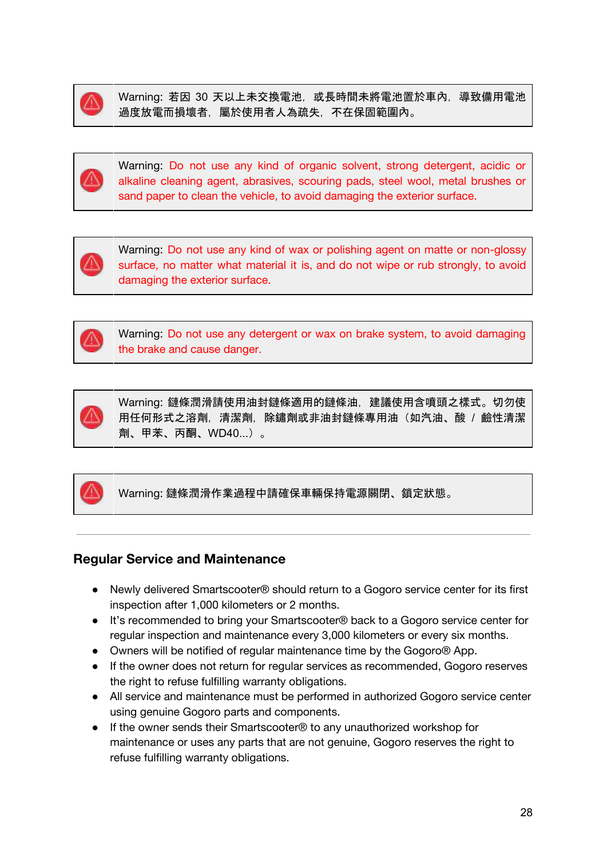

Warning: 若因 30 天以上未交換電池, 或長時間未將電池置於車內, 導致備用電池 過度放電而損壞者,屬於使用者人為疏失,不在保固範圍內。



Warning: Do not use any kind of organic solvent, strong detergent, acidic or alkaline cleaning agent, abrasives, scouring pads, steel wool, metal brushes or sand paper to clean the vehicle, to avoid damaging the exterior surface.



Warning: Do not use any kind of wax or polishing agent on matte or non-glossy surface, no matter what material it is, and do not wipe or rub strongly, to avoid damaging the exterior surface.



Warning: Do not use any detergent or wax on brake system, to avoid damaging the brake and cause danger.



Warning: 鏈條潤滑請使用油封鏈條適用的鏈條油,建議使用含噴頭之樣式。切勿使 用任何形式之溶劑,清潔劑,除鏽劑或非油封鏈條專用油(如汽油、酸 / 鹼性清潔 劑、甲苯、丙酮、WD40...)。



Warning: 鏈條潤滑作業過程中請確保車輛保持電源關閉、鎖定狀態。

## <span id="page-28-0"></span>**Regular Service and Maintenance**

- Newly delivered Smartscooter® should return to a Gogoro service center for its first inspection after 1,000 kilometers or 2 months.
- It's recommended to bring your Smartscooter<sup>®</sup> back to a Gogoro service center for regular inspection and maintenance every 3,000 kilometers or every six months.
- Owners will be notified of regular maintenance time by the Gogoro® App.
- If the owner does not return for regular services as recommended, Gogoro reserves the right to refuse fulfilling warranty obligations.
- All service and maintenance must be performed in authorized Gogoro service center using genuine Gogoro parts and components.
- If the owner sends their Smartscooter<sup>®</sup> to any unauthorized workshop for maintenance or uses any parts that are not genuine, Gogoro reserves the right to refuse fulfilling warranty obligations.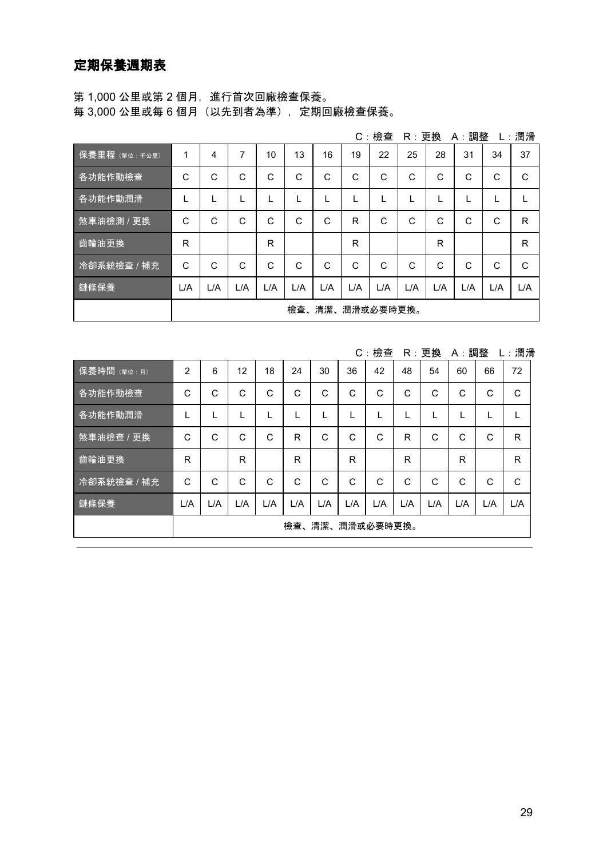<span id="page-29-0"></span>第 1,000 公里或第 2 個月, 進行首次回廠檢查保養。 每 3,000 公里或每 6 個月(以先到者為準),定期回廠檢查保養。

|               |                 |     |     |     |     |     |              | $C:$ 檢查      | R:更換 |              | A:調整         |     | L:潤滑 |
|---------------|-----------------|-----|-----|-----|-----|-----|--------------|--------------|------|--------------|--------------|-----|------|
| 保養里程 (單位:千公里) | 1               | 4   | 7   | 10  | 13  | 16  | 19           | 22           | 25   | 28           | 31           | 34  | 37   |
| 各功能作動檢查       | C               | C   | C   | C   | C   | C   | $\mathsf{C}$ | C            | C    | C            | C            | C   | C    |
| 各功能作動潤滑       |                 | L   |     |     |     |     |              |              | L    |              |              |     |      |
| 煞車油檢測 / 更換    | C               | C   | C   | C   | C   | C   | R            | C            | C    | C            | C            | C   | R    |
| 齒輪油更換         | R               |     |     | R   |     |     | R            |              |      | R            |              |     | R    |
| 冷卻系統檢查 / 補充   | C               | C   | C   | C   | C   | C   | $\mathsf{C}$ | $\mathsf{C}$ | C    | $\mathsf{C}$ | $\mathsf{C}$ | C   | C    |
| 鏈條保養          | L/A             | L/A | L/A | L/A | L/A | L/A | L/A          | L/A          | L/A  | L/A          | L/A          | L/A | L/A  |
|               | 檢查、清潔、潤滑或必要時更換。 |     |     |     |     |     |              |              |      |              |              |     |      |

C:檢查 R:更換 A:調整 L:潤滑

| 保養時間 (單位:月) | 2   | 6               | 12  | 18  | 24  | 30  | 36  | 42  | 48  | 54  | 60  | 66  | 72  |
|-------------|-----|-----------------|-----|-----|-----|-----|-----|-----|-----|-----|-----|-----|-----|
| 各功能作動檢查     | C   | C               | C   | C   | C   | C   | C   | C   | C   | C   | C   | C   | C   |
| 各功能作動潤滑     | L   |                 |     |     |     |     |     |     |     |     | L   | L   |     |
| 煞車油檢查 / 更換  | C   | C               | C   | C   | R   | C   | C   | C   | R   | C   | C   | C   | R   |
| 齒輪油更換       | R   |                 | R   |     | R   |     | R   |     | R   |     | R   |     | R   |
| 冷卻系統檢查 / 補充 | C   | C               | C   | C   | C   | C   | C   | C   | C   | C   | C   | C   | C   |
| 鏈條保養'       | L/A | L/A             | L/A | L/A | L/A | L/A | L/A | L/A | L/A | L/A | L/A | L/A | L/A |
|             |     | 檢查、清潔、潤滑或必要時更換。 |     |     |     |     |     |     |     |     |     |     |     |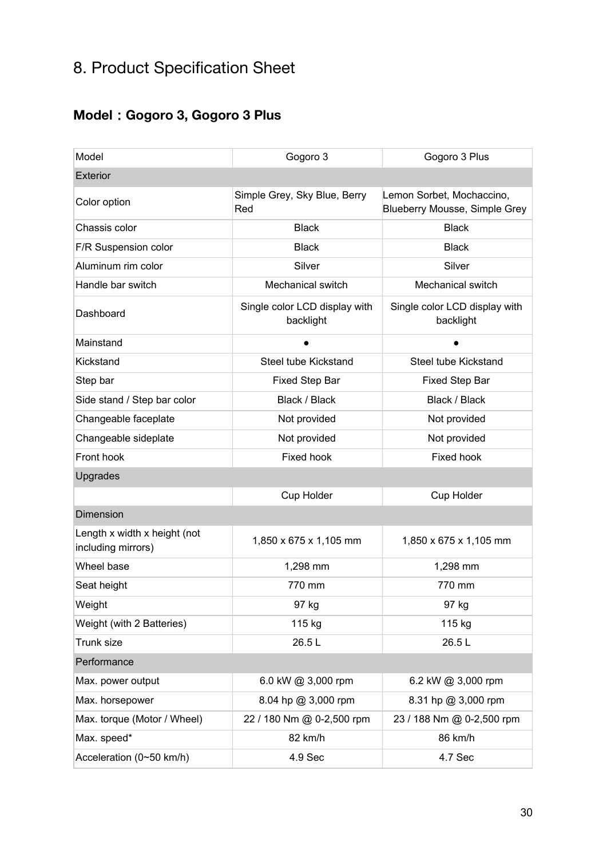# <span id="page-30-0"></span>8. Product Specification Sheet

# <span id="page-30-1"></span>**Model**:**Gogoro 3, Gogoro 3 Plus**

| Model                                              | Gogoro 3                                   | Gogoro 3 Plus                                              |  |  |
|----------------------------------------------------|--------------------------------------------|------------------------------------------------------------|--|--|
| Exterior                                           |                                            |                                                            |  |  |
| Color option                                       | Simple Grey, Sky Blue, Berry<br>Red        | Lemon Sorbet, Mochaccino,<br>Blueberry Mousse, Simple Grey |  |  |
| Chassis color                                      | <b>Black</b>                               | <b>Black</b>                                               |  |  |
| F/R Suspension color                               | <b>Black</b>                               | <b>Black</b>                                               |  |  |
| Aluminum rim color                                 | Silver                                     | Silver                                                     |  |  |
| Handle bar switch                                  | Mechanical switch                          | Mechanical switch                                          |  |  |
| Dashboard                                          | Single color LCD display with<br>backlight | Single color LCD display with<br>backlight                 |  |  |
| Mainstand                                          |                                            |                                                            |  |  |
| Kickstand                                          | Steel tube Kickstand                       | Steel tube Kickstand                                       |  |  |
| Step bar                                           | <b>Fixed Step Bar</b>                      | <b>Fixed Step Bar</b>                                      |  |  |
| Side stand / Step bar color                        | Black / Black                              | Black / Black                                              |  |  |
| Changeable faceplate                               | Not provided                               | Not provided                                               |  |  |
| Changeable sideplate                               | Not provided                               | Not provided                                               |  |  |
| Front hook                                         | Fixed hook                                 | Fixed hook                                                 |  |  |
| Upgrades                                           |                                            |                                                            |  |  |
|                                                    | Cup Holder                                 | Cup Holder                                                 |  |  |
| <b>Dimension</b>                                   |                                            |                                                            |  |  |
| Length x width x height (not<br>including mirrors) | 1,850 x 675 x 1,105 mm                     | 1,850 x 675 x 1,105 mm                                     |  |  |
| Wheel base                                         | 1,298 mm                                   | 1,298 mm                                                   |  |  |
| Seat height                                        | 770 mm                                     | 770 mm                                                     |  |  |
| Weight                                             | 97 kg                                      | 97 kg                                                      |  |  |
| Weight (with 2 Batteries)                          | 115 kg                                     | 115 kg                                                     |  |  |
| Trunk size                                         | 26.5L                                      | 26.5L                                                      |  |  |
| Performance                                        |                                            |                                                            |  |  |
| Max. power output                                  | 6.0 kW @ 3,000 rpm                         | 6.2 kW @ 3,000 rpm                                         |  |  |
| Max. horsepower                                    | 8.04 hp @ 3,000 rpm                        | 8.31 hp @ 3,000 rpm                                        |  |  |
| Max. torque (Motor / Wheel)                        | 22 / 180 Nm @ 0-2,500 rpm                  | 23 / 188 Nm @ 0-2,500 rpm                                  |  |  |
| Max. speed*                                        | 82 km/h                                    | 86 km/h                                                    |  |  |
| Acceleration (0~50 km/h)                           | 4.9 Sec                                    | 4.7 Sec                                                    |  |  |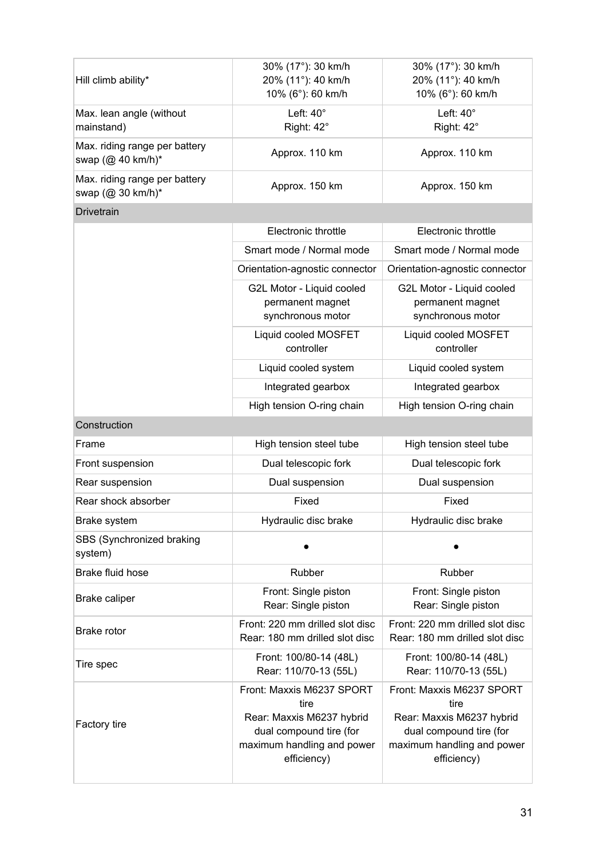| Hill climb ability*                                | 30% (17°): 30 km/h<br>20% (11°): 40 km/h<br>10% (6°): 60 km/h                                                                          | 30% (17°): 30 km/h<br>20% (11°): 40 km/h<br>10% (6°): 60 km/h                                                                          |  |  |  |  |
|----------------------------------------------------|----------------------------------------------------------------------------------------------------------------------------------------|----------------------------------------------------------------------------------------------------------------------------------------|--|--|--|--|
| Max. lean angle (without<br>mainstand)             | Left: $40^\circ$<br>Right: 42°                                                                                                         | Left: $40^\circ$<br>Right: 42°                                                                                                         |  |  |  |  |
| Max. riding range per battery<br>swap (@ 40 km/h)* | Approx. 110 km                                                                                                                         | Approx. 110 km                                                                                                                         |  |  |  |  |
| Max. riding range per battery<br>swap (@ 30 km/h)* | Approx. 150 km                                                                                                                         | Approx. 150 km                                                                                                                         |  |  |  |  |
| <b>Drivetrain</b>                                  |                                                                                                                                        |                                                                                                                                        |  |  |  |  |
|                                                    | Electronic throttle                                                                                                                    | Electronic throttle                                                                                                                    |  |  |  |  |
|                                                    | Smart mode / Normal mode                                                                                                               | Smart mode / Normal mode                                                                                                               |  |  |  |  |
|                                                    | Orientation-agnostic connector                                                                                                         | Orientation-agnostic connector                                                                                                         |  |  |  |  |
|                                                    | G2L Motor - Liquid cooled<br>permanent magnet<br>synchronous motor                                                                     | G2L Motor - Liquid cooled<br>permanent magnet<br>synchronous motor                                                                     |  |  |  |  |
|                                                    | Liquid cooled MOSFET<br>controller                                                                                                     | Liquid cooled MOSFET<br>controller                                                                                                     |  |  |  |  |
|                                                    | Liquid cooled system                                                                                                                   | Liquid cooled system                                                                                                                   |  |  |  |  |
|                                                    | Integrated gearbox                                                                                                                     | Integrated gearbox                                                                                                                     |  |  |  |  |
|                                                    | High tension O-ring chain                                                                                                              | High tension O-ring chain                                                                                                              |  |  |  |  |
| Construction                                       |                                                                                                                                        |                                                                                                                                        |  |  |  |  |
| Frame                                              | High tension steel tube                                                                                                                | High tension steel tube                                                                                                                |  |  |  |  |
| Front suspension                                   | Dual telescopic fork                                                                                                                   | Dual telescopic fork                                                                                                                   |  |  |  |  |
| Rear suspension                                    | Dual suspension                                                                                                                        | Dual suspension                                                                                                                        |  |  |  |  |
| Rear shock absorber                                | Fixed                                                                                                                                  | Fixed                                                                                                                                  |  |  |  |  |
| Brake system                                       | Hydraulic disc brake                                                                                                                   | Hydraulic disc brake                                                                                                                   |  |  |  |  |
| SBS (Synchronized braking<br>system)               |                                                                                                                                        |                                                                                                                                        |  |  |  |  |
| Brake fluid hose                                   | Rubber                                                                                                                                 | Rubber                                                                                                                                 |  |  |  |  |
| Brake caliper                                      | Front: Single piston<br>Rear: Single piston                                                                                            | Front: Single piston<br>Rear: Single piston                                                                                            |  |  |  |  |
| Brake rotor                                        | Front: 220 mm drilled slot disc<br>Rear: 180 mm drilled slot disc                                                                      | Front: 220 mm drilled slot disc<br>Rear: 180 mm drilled slot disc                                                                      |  |  |  |  |
| Tire spec                                          | Front: 100/80-14 (48L)<br>Rear: 110/70-13 (55L)                                                                                        | Front: 100/80-14 (48L)<br>Rear: 110/70-13 (55L)                                                                                        |  |  |  |  |
| Factory tire                                       | Front: Maxxis M6237 SPORT<br>tire<br>Rear: Maxxis M6237 hybrid<br>dual compound tire (for<br>maximum handling and power<br>efficiency) | Front: Maxxis M6237 SPORT<br>tire<br>Rear: Maxxis M6237 hybrid<br>dual compound tire (for<br>maximum handling and power<br>efficiency) |  |  |  |  |